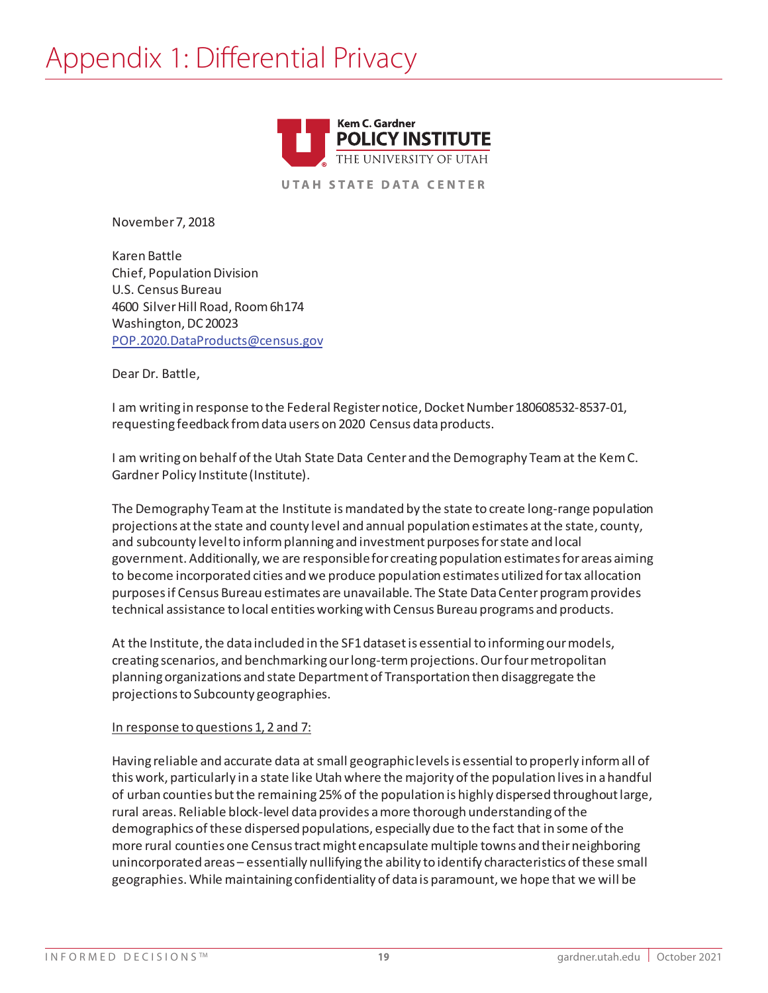

**UTAH STATE DATA CENTER** 

November 7, 2018

Karen Battle Chief, Population Division U.S. Census Bureau 4600 Silver Hill Road, Room 6h174 Washington, DC 20023 POP.2020.DataProducts@census.gov

Dear Dr. Battle,

I am writing in response to the Federal Register notice, Docket Number 180608532-8537-01, requesting feedback from data users on 2020 Census data products.

I am writing on behalf of the Utah State Data Center and the Demography Team at the Kem C. Gardner Policy Institute (Institute).

The Demography Team at the Institute is mandated by the state to create long-range population projections at the state and county level and annual population estimates atthe state, county, and subcounty level to inform planning and investment purposes for state and local government. Additionally, we are responsible for creating population estimates for areas aiming to become incorporated cities and we produce population estimates utilized for tax allocation purposes if Census Bureau estimates are unavailable. The State Data Center program provides technical assistance to local entities working with Census Bureau programs and products.

At the Institute, the data included in the SF1 dataset is essential to informing our models, creating scenarios, and benchmarking our long-term projections. Our four metropolitan planning organizations and state Department of Transportation then disaggregate the projections to Subcounty geographies.

## In response to questions 1, 2 and 7:

Having reliable and accurate data at small geographic levels is essential to properly inform all of this work, particularly in a state like Utah where the majority of the population lives in a handful of urban counties but the remaining 25% of the population is highly dispersed throughout large, rural areas. Reliable block-level data provides a more thorough understanding of the demographics of these dispersed populations, especially due to the fact that in some of the more rural counties one Census tractmight encapsulate multiple towns and their neighboring unincorporated areas – essentially nullifying the ability to identify characteristics of these small geographies. While maintaining confidentiality of data is paramount, we hope that we will be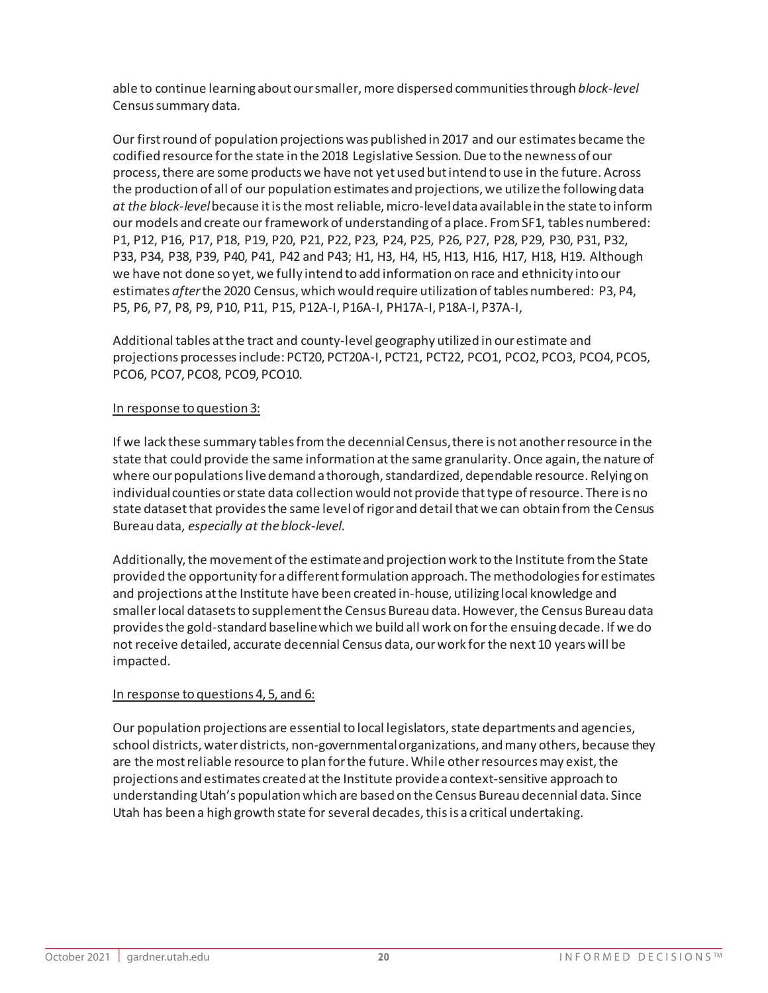able to continue learning about our smaller, more dispersed communities through *block-level* Census summary data.

Our first round of population projections was published in 2017 and our estimates became the codified resource for the state in the 2018 Legislative Session. Due to the newness of our process, there are some products we have not yet used but intend to use in the future. Across the production of all of our population estimates and projections, we utilize the following data *at the block-level*because it is the most reliable, micro-level data available in the state to inform our models and create our framework of understanding of a place. From SF1, tables numbered: P1, P12, P16, P17, P18, P19, P20, P21, P22, P23, P24, P25, P26, P27, P28, P29, P30, P31, P32, P33, P34, P38, P39, P40, P41, P42 and P43; H1, H3, H4, H5, H13, H16, H17, H18, H19. Although we have not done so yet, we fully intend to add information on race and ethnicity into our estimates *after*the 2020 Census, which would require utilization of tables numbered: P3, P4, P5, P6, P7, P8, P9, P10, P11, P15, P12A-I, P16A-I, PH17A-I, P18A-I, P37A-I,

Additional tables at the tract and county-level geography utilized in our estimate and projections processes include: PCT20, PCT20A-I, PCT21, PCT22, PCO1, PCO2, PCO3, PCO4, PCO5, PCO6, PCO7, PCO8, PCO9, PCO10.

## In response to question 3:

If we lack these summary tables from the decennial Census, there is not another resource in the state that could provide the same information at the same granularity. Once again, the nature of where our populationslivedemand a thorough, standardized, dependable resource. Relying on individual counties or state data collection would not provide that type of resource. There is no state dataset that provides the same level of rigor and detail that we can obtain from the Census Bureau data, *especially at the block-level*.

Additionally, the movement of the estimate and projection work to the Institute from the State provided the opportunity for a different formulation approach. The methodologies for estimates and projections at the Institute have been created in-house, utilizing local knowledge and smaller local datasets to supplement the Census Bureau data. However, the Census Bureau data provides the gold-standard baseline which we build all work on for the ensuing decade. If we do not receive detailed, accurate decennial Census data, our work for the next 10 years will be impacted.

## In response to questions 4, 5, and 6:

Our population projections are essential to local legislators, state departments and agencies, school districts, water districts, non-governmental organizations, and many others, because they are the most reliable resource to plan for the future. While other resources may exist, the projections and estimates created at the Institute provide a context-sensitive approach to understanding Utah's population which are based on the Census Bureau decennial data. Since Utah has been a high growth state for several decades, this is a critical undertaking.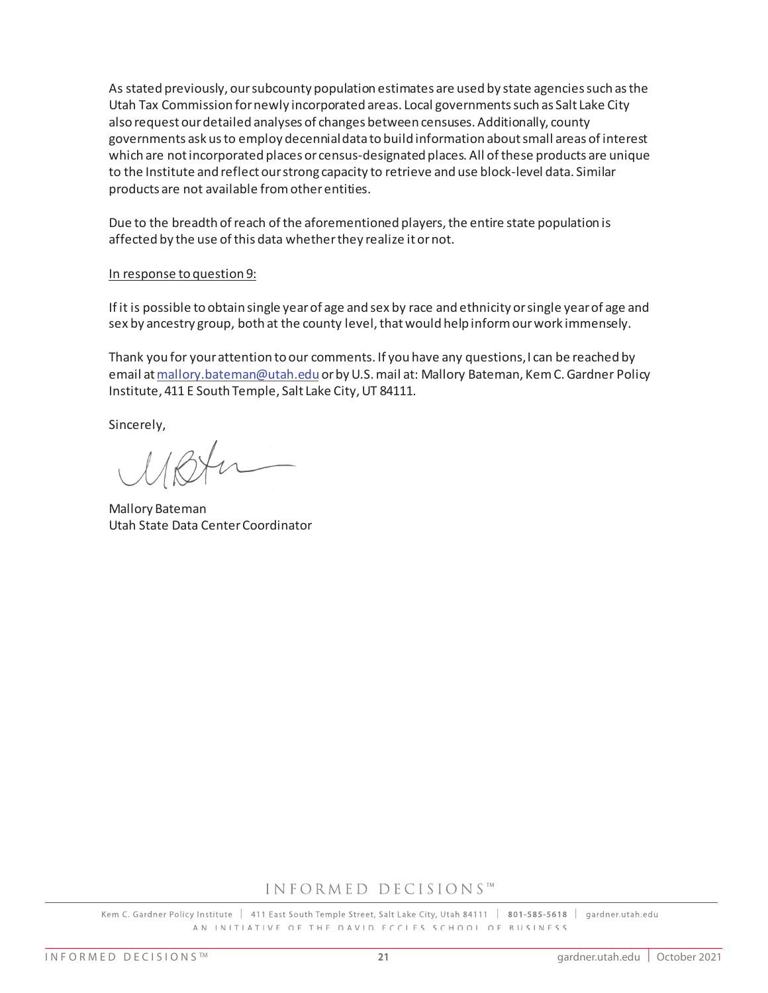As stated previously, our subcounty population estimates are used by state agencies such as the Utah Tax Commission for newly incorporated areas. Local governments such as Salt Lake City also request our detailed analyses of changes between censuses. Additionally, county governments ask us to employ decennial data to build information about small areas of interest which are not incorporated places or census-designated places. All of these products are unique to the Institute and reflect our strong capacity to retrieve and use block-level data. Similar products are not available from other entities.

Due to the breadth of reach of the aforementioned players, the entire state population is affected by the use of this data whether they realize it or not.

## In response to question 9:

If it is possible to obtain single year of age and sex by race and ethnicity or single year of age and sex by ancestry group, both at the county level, that would help inform our work immensely.

Thank you for your attention to our comments. If you have any questions, I can be reached by email at mallory.bateman@utah.edu or by U.S. mail at: Mallory Bateman, Kem C. Gardner Policy Institute, 411 E South Temple, Salt Lake City, UT 84111.

Sincerely,

Mallory Bateman Utah State Data Center Coordinator

## INFORMED DECISIONS™

Kem C. Gardner Policy Institute | 411 East South Temple Street, Salt Lake City, Utah 84111 | 801-585-5618 | gardner.utah.edu AN INITIATIVE OF THE DAVID FCCIFS SCHOOL OF RUSINESS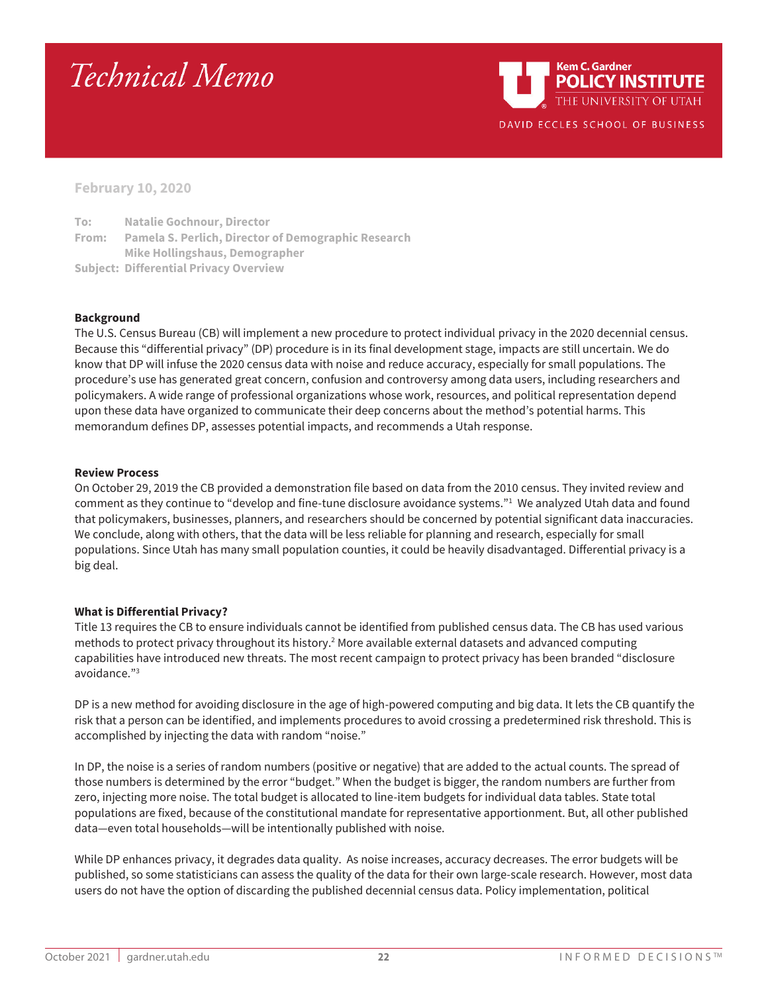# Technical Memo

**Kem C. Gardner POLICY INSTITUTE** THE UNIVERSITY OF UTAH DAVID ECCLES SCHOOL OF BUSINESS

**February 10, 2020**

**To: Natalie Gochnour, Director From: Pamela S. Perlich, Director of Demographic Research Mike Hollingshaus, Demographer Subject: Differential Privacy Overview**

#### **Background**

The U.S. Census Bureau (CB) will implement a new procedure to protect individual privacy in the 2020 decennial census. Because this "differential privacy" (DP) procedure is in its final development stage, impacts are still uncertain. We do know that DP will infuse the 2020 census data with noise and reduce accuracy, especially for small populations. The procedure's use has generated great concern, confusion and controversy among data users, including researchers and policymakers. A wide range of professional organizations whose work, resources, and political representation depend upon these data have organized to communicate their deep concerns about the method's potential harms. This memorandum defines DP, assesses potential impacts, and recommends a Utah response.

#### **Review Process**

On October 29, 2019 the CB provided a demonstration file based on data from the 2010 census. They invited review and comment as they continue to "develop and fine-tune disclosure avoidance systems."1 We analyzed Utah data and found that policymakers, businesses, planners, and researchers should be concerned by potential significant data inaccuracies. We conclude, along with others, that the data will be less reliable for planning and research, especially for small populations. Since Utah has many small population counties, it could be heavily disadvantaged. Differential privacy is a big deal.

## **What is Differential Privacy?**

Title 13 requires the CB to ensure individuals cannot be identified from published census data. The CB has used various methods to protect privacy throughout its history.<sup>2</sup> More available external datasets and advanced computing capabilities have introduced new threats. The most recent campaign to protect privacy has been branded "disclosure avoidance."3

DP is a new method for avoiding disclosure in the age of high-powered computing and big data. It lets the CB quantify the risk that a person can be identified, and implements procedures to avoid crossing a predetermined risk threshold. This is accomplished by injecting the data with random "noise."

In DP, the noise is a series of random numbers (positive or negative) that are added to the actual counts. The spread of those numbers is determined by the error "budget." When the budget is bigger, the random numbers are further from zero, injecting more noise. The total budget is allocated to line-item budgets for individual data tables. State total populations are fixed, because of the constitutional mandate for representative apportionment. But, all other published data—even total households—will be intentionally published with noise.

While DP enhances privacy, it degrades data quality. As noise increases, accuracy decreases. The error budgets will be published, so some statisticians can assess the quality of the data for their own large-scale research. However, most data users do not have the option of discarding the published decennial census data. Policy implementation, political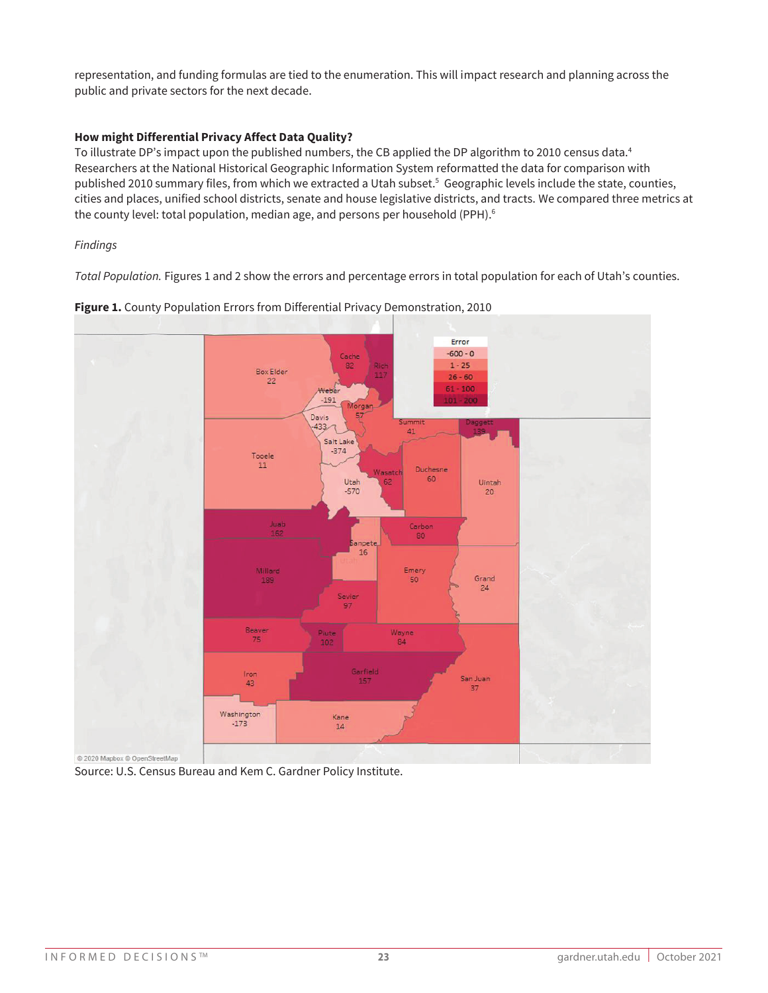representation, and funding formulas are tied to the enumeration. This will impact research and planning across the public and private sectors for the next decade.

## **How might Differential Privacy Affect Data Quality?**

To illustrate DP's impact upon the published numbers, the CB applied the DP algorithm to 2010 census data. 4 Researchers at the National Historical Geographic Information System reformatted the data for comparison with published 2010 summary files, from which we extracted a Utah subset. <sup>5</sup> Geographic levels include the state, counties, cities and places, unified school districts, senate and house legislative districts, and tracts. We compared three metrics at the county level: total population, median age, and persons per household (PPH).<sup>6</sup>

## *Findings*

*Total Population.* Figures 1 and 2 show the errors and percentage errors in total population for each of Utah's counties.



**Figure 1.** County Population Errors from Differential Privacy Demonstration, 2010

Source: U.S. Census Bureau and Kem C. Gardner Policy Institute.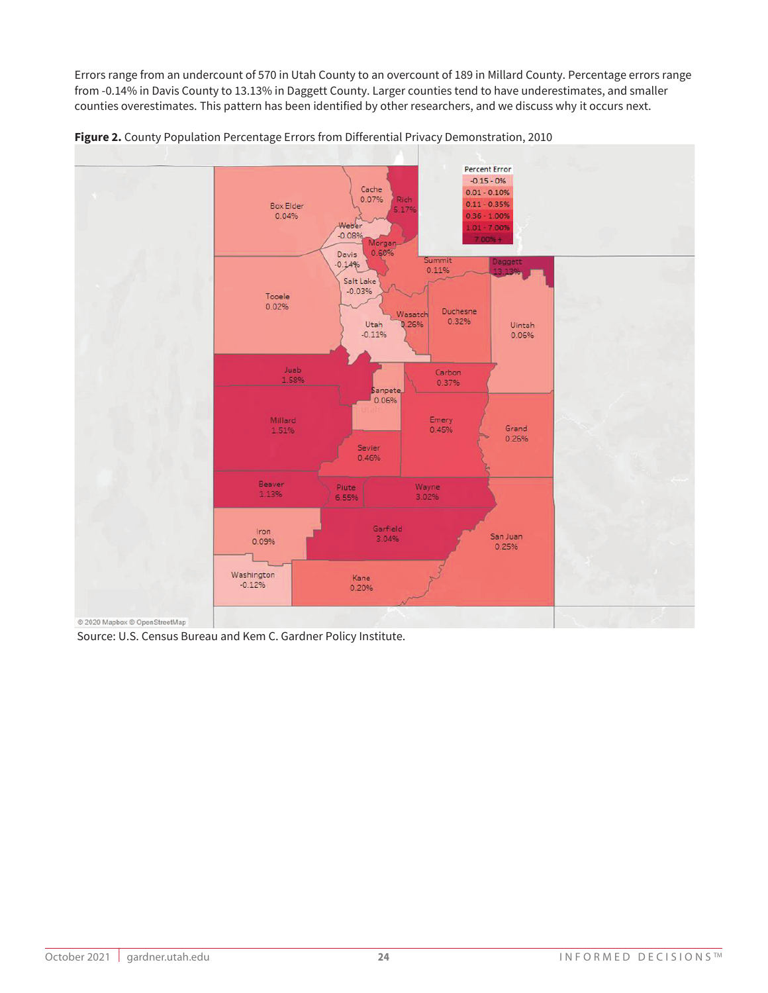Errors range from an undercount of 570 in Utah County to an overcount of 189 in Millard County. Percentage errors range from -0.14% in Davis County to 13.13% in Daggett County. Larger counties tend to have underestimates, and smaller counties overestimates. This pattern has been identified by other researchers, and we discuss why it occurs next.





Source: U.S. Census Bureau and Kem C. Gardner Policy Institute.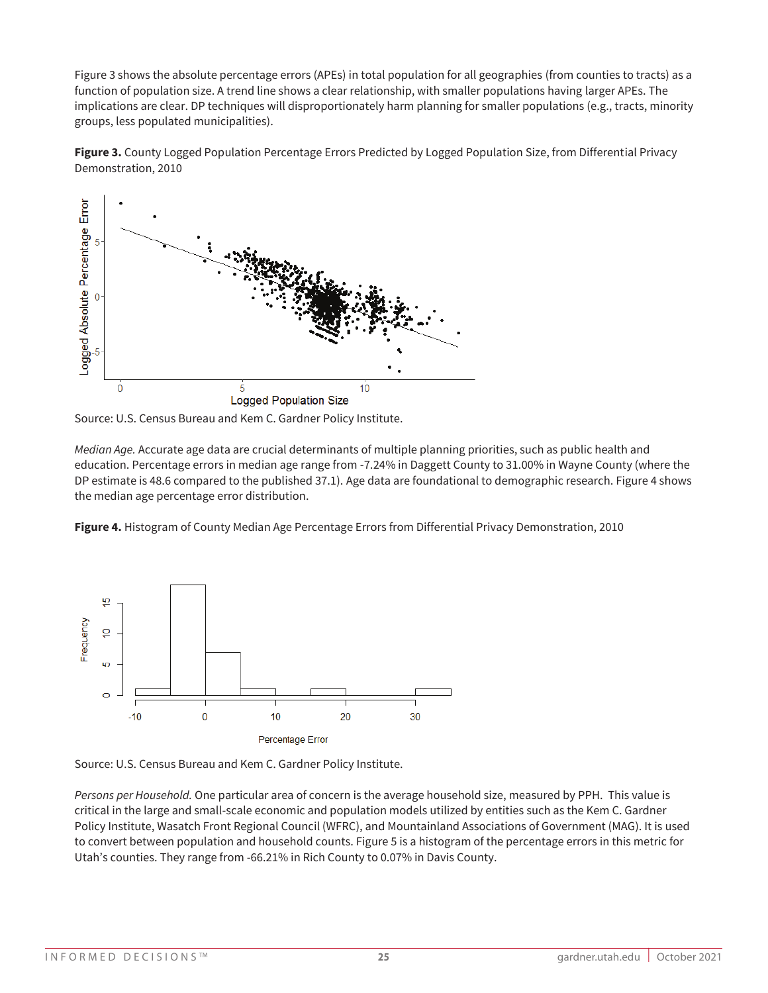Figure 3 shows the absolute percentage errors (APEs) in total population for all geographies (from counties to tracts) as a function of population size. A trend line shows a clear relationship, with smaller populations having larger APEs. The implications are clear. DP techniques will disproportionately harm planning for smaller populations (e.g., tracts, minority groups, less populated municipalities).





Source: U.S. Census Bureau and Kem C. Gardner Policy Institute.

*Median Age.* Accurate age data are crucial determinants of multiple planning priorities, such as public health and education. Percentage errors in median age range from -7.24% in Daggett County to 31.00% in Wayne County (where the DP estimate is 48.6 compared to the published 37.1). Age data are foundational to demographic research. Figure 4 shows the median age percentage error distribution.

**Figure 4.** Histogram of County Median Age Percentage Errors from Differential Privacy Demonstration, 2010



Source: U.S. Census Bureau and Kem C. Gardner Policy Institute.

*Persons per Household.* One particular area of concern is the average household size, measured by PPH. This value is critical in the large and small-scale economic and population models utilized by entities such as the Kem C. Gardner Policy Institute, Wasatch Front Regional Council (WFRC), and Mountainland Associations of Government (MAG). It is used to convert between population and household counts. Figure 5 is a histogram of the percentage errors in this metric for Utah's counties. They range from -66.21% in Rich County to 0.07% in Davis County.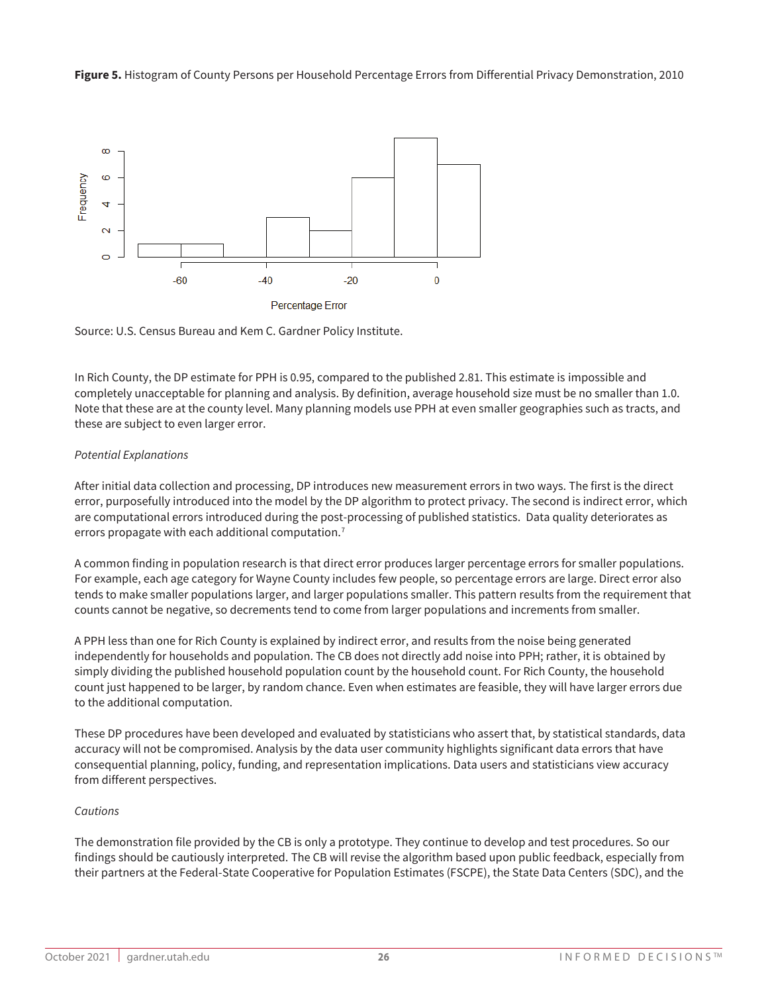**Figure 5.** Histogram of County Persons per Household Percentage Errors from Differential Privacy Demonstration, 2010



Source: U.S. Census Bureau and Kem C. Gardner Policy Institute.

In Rich County, the DP estimate for PPH is 0.95, compared to the published 2.81. This estimate is impossible and completely unacceptable for planning and analysis. By definition, average household size must be no smaller than 1.0. Note that these are at the county level. Many planning models use PPH at even smaller geographies such as tracts, and these are subject to even larger error.

## *Potential Explanations*

After initial data collection and processing, DP introduces new measurement errors in two ways. The first is the direct error, purposefully introduced into the model by the DP algorithm to protect privacy. The second is indirect error, which are computational errors introduced during the post-processing of published statistics. Data quality deteriorates as errors propagate with each additional computation.<sup>7</sup>

A common finding in population research is that direct error produces larger percentage errors for smaller populations. For example, each age category for Wayne County includes few people, so percentage errors are large. Direct error also tends to make smaller populations larger, and larger populations smaller. This pattern results from the requirement that counts cannot be negative, so decrements tend to come from larger populations and increments from smaller.

A PPH less than one for Rich County is explained by indirect error, and results from the noise being generated independently for households and population. The CB does not directly add noise into PPH; rather, it is obtained by simply dividing the published household population count by the household count. For Rich County, the household count just happened to be larger, by random chance. Even when estimates are feasible, they will have larger errors due to the additional computation.

These DP procedures have been developed and evaluated by statisticians who assert that, by statistical standards, data accuracy will not be compromised. Analysis by the data user community highlights significant data errors that have consequential planning, policy, funding, and representation implications. Data users and statisticians view accuracy from different perspectives.

## *Cautions*

The demonstration file provided by the CB is only a prototype. They continue to develop and test procedures. So our findings should be cautiously interpreted. The CB will revise the algorithm based upon public feedback, especially from their partners at the Federal-State Cooperative for Population Estimates (FSCPE), the State Data Centers (SDC), and the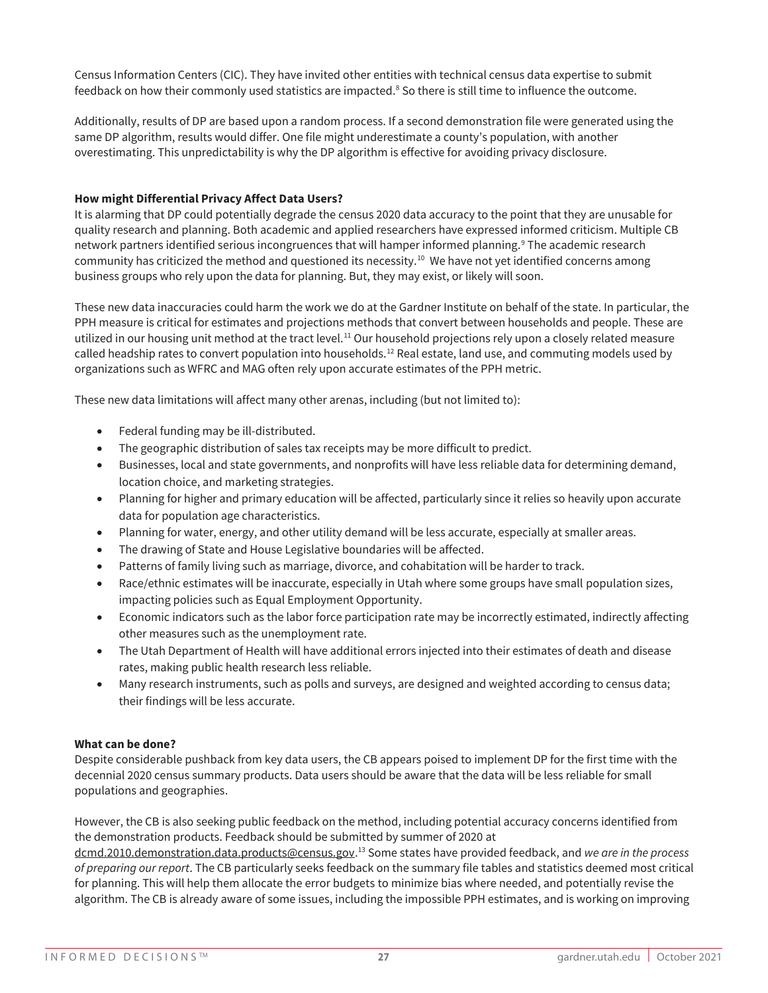Census Information Centers (CIC). They have invited other entities with technical census data expertise to submit feedback on how their commonly used statistics are impacted. <sup>8</sup> So there is still time to influence the outcome.

Additionally, results of DP are based upon a random process. If a second demonstration file were generated using the same DP algorithm, results would differ. One file might underestimate a county's population, with another overestimating. This unpredictability is why the DP algorithm is effective for avoiding privacy disclosure.

### **How might Differential Privacy Affect Data Users?**

It is alarming that DP could potentially degrade the census 2020 data accuracy to the point that they are unusable for quality research and planning. Both academic and applied researchers have expressed informed criticism. Multiple CB network partners identified serious incongruences that will hamper informed planning.<sup>9</sup> The academic research community has criticized the method and questioned its necessity.<sup>10</sup> We have not yet identified concerns among business groups who rely upon the data for planning. But, they may exist, or likely will soon.

These new data inaccuracies could harm the work we do at the Gardner Institute on behalf of the state. In particular, the PPH measure is critical for estimates and projections methods that convert between households and people. These are utilized in our housing unit method at the tract level.<sup>11</sup> Our household projections rely upon a closely related measure called headship rates to convert population into households.12 Real estate, land use, and commuting models used by organizations such as WFRC and MAG often rely upon accurate estimates of the PPH metric.

These new data limitations will affect many other arenas, including (but not limited to):

- Federal funding may be ill-distributed.
- The geographic distribution of sales tax receipts may be more difficult to predict.
- Businesses, local and state governments, and nonprofits will have less reliable data for determining demand, location choice, and marketing strategies.
- Planning for higher and primary education will be affected, particularly since it relies so heavily upon accurate data for population age characteristics.
- Planning for water, energy, and other utility demand will be less accurate, especially at smaller areas.
- The drawing of State and House Legislative boundaries will be affected.
- Patterns of family living such as marriage, divorce, and cohabitation will be harder to track.
- Race/ethnic estimates will be inaccurate, especially in Utah where some groups have small population sizes, impacting policies such as Equal Employment Opportunity.
- Economic indicators such as the labor force participation rate may be incorrectly estimated, indirectly affecting other measures such as the unemployment rate.
- The Utah Department of Health will have additional errors injected into their estimates of death and disease rates, making public health research less reliable.
- Many research instruments, such as polls and surveys, are designed and weighted according to census data; their findings will be less accurate.

## **What can be done?**

Despite considerable pushback from key data users, the CB appears poised to implement DP for the first time with the decennial 2020 census summary products. Data users should be aware that the data will be less reliable for small populations and geographies.

However, the CB is also seeking public feedback on the method, including potential accuracy concerns identified from the demonstration products. Feedback should be submitted by summer of 2020 at

dcmd.2010.demonstration.data.products@census.gov. <sup>13</sup> Some states have provided feedback, and *we are in the process of preparing our report*. The CB particularly seeks feedback on the summary file tables and statistics deemed most critical for planning. This will help them allocate the error budgets to minimize bias where needed, and potentially revise the algorithm. The CB is already aware of some issues, including the impossible PPH estimates, and is working on improving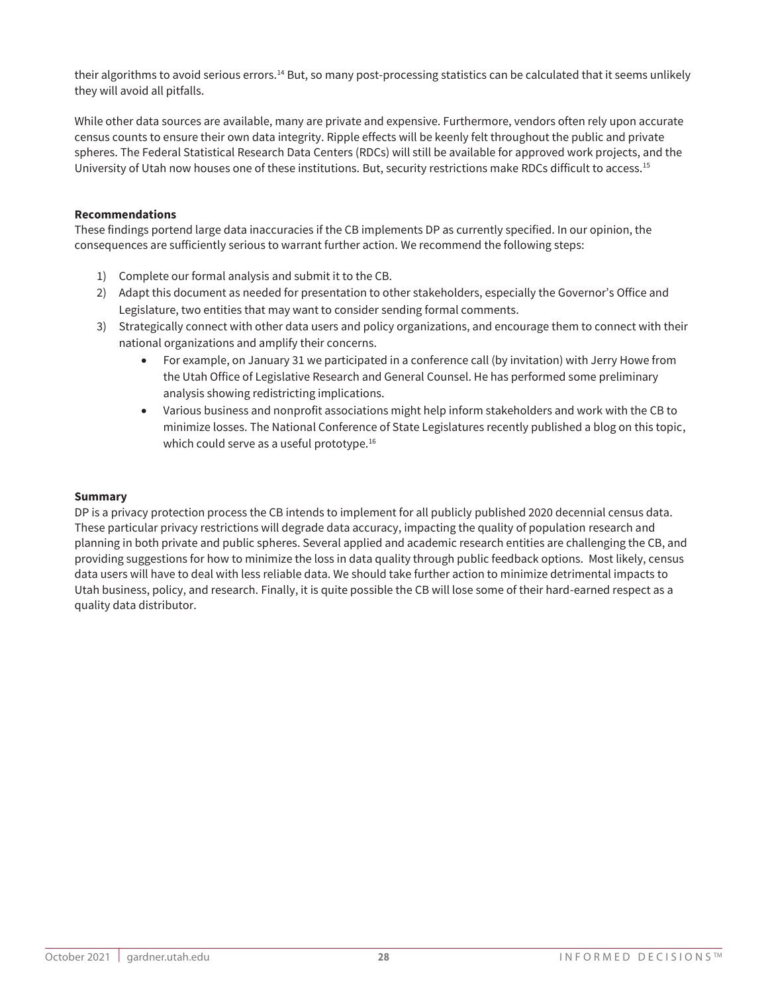their algorithms to avoid serious errors.<sup>14</sup> But, so many post-processing statistics can be calculated that it seems unlikely they will avoid all pitfalls.

While other data sources are available, many are private and expensive. Furthermore, vendors often rely upon accurate census counts to ensure their own data integrity. Ripple effects will be keenly felt throughout the public and private spheres. The Federal Statistical Research Data Centers (RDCs) will still be available for approved work projects, and the University of Utah now houses one of these institutions. But, security restrictions make RDCs difficult to access.15

#### **Recommendations**

These findings portend large data inaccuracies if the CB implements DP as currently specified. In our opinion, the consequences are sufficiently serious to warrant further action. We recommend the following steps:

- 1) Complete our formal analysis and submit it to the CB.
- 2) Adapt this document as needed for presentation to other stakeholders, especially the Governor's Office and Legislature, two entities that may want to consider sending formal comments.
- 3) Strategically connect with other data users and policy organizations, and encourage them to connect with their national organizations and amplify their concerns.
	- For example, on January 31 we participated in a conference call (by invitation) with Jerry Howe from the Utah Office of Legislative Research and General Counsel. He has performed some preliminary analysis showing redistricting implications.
	- Various business and nonprofit associations might help inform stakeholders and work with the CB to minimize losses. The National Conference of State Legislatures recently published a blog on this topic, which could serve as a useful prototype.<sup>16</sup>

#### **Summary**

DP is a privacy protection process the CB intends to implement for all publicly published 2020 decennial census data. These particular privacy restrictions will degrade data accuracy, impacting the quality of population research and planning in both private and public spheres. Several applied and academic research entities are challenging the CB, and providing suggestions for how to minimize the loss in data quality through public feedback options. Most likely, census data users will have to deal with less reliable data. We should take further action to minimize detrimental impacts to Utah business, policy, and research. Finally, it is quite possible the CB will lose some of their hard-earned respect as a quality data distributor.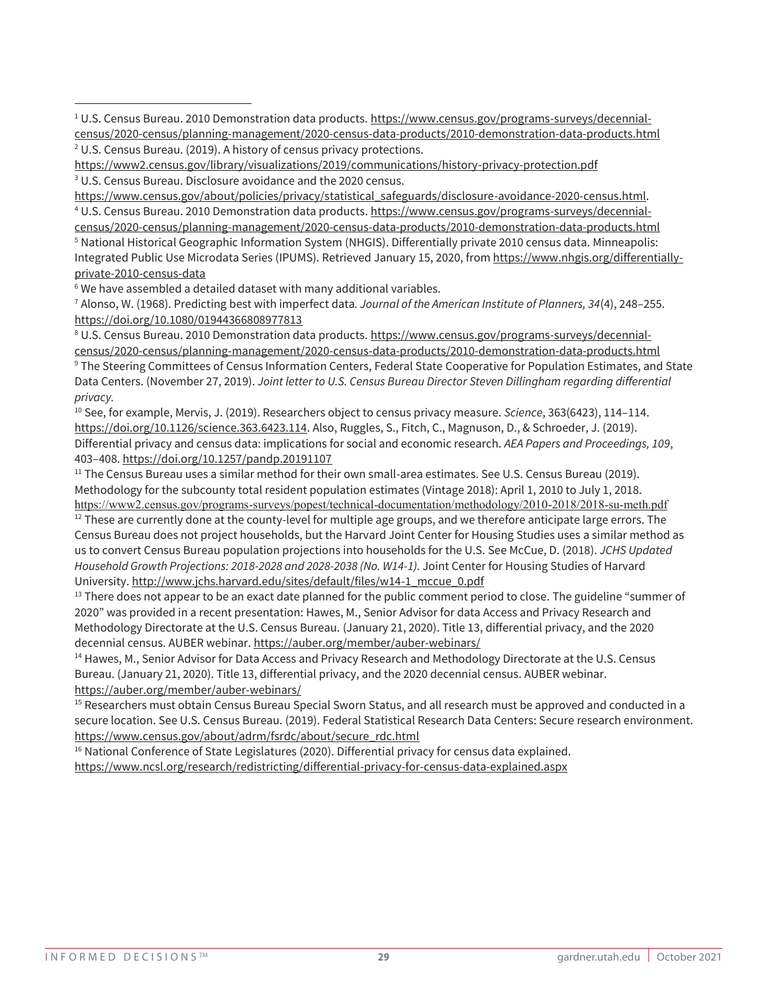<sup>1</sup> U.S. Census Bureau. 2010 Demonstration data products. https://www.census.gov/programs-surveys/decennialcensus/2020-census/planning-management/2020-census-data-products/2010-demonstration-data-products.html <sup>2</sup> U.S. Census Bureau. (2019). A history of census privacy protections.

https://www2.census.gov/library/visualizations/2019/communications/history-privacy-protection.pdf <sup>3</sup> U.S. Census Bureau. Disclosure avoidance and the 2020 census.

https://www.census.gov/about/policies/privacy/statistical\_safeguards/disclosure-avoidance-2020-census.html. <sup>4</sup> U.S. Census Bureau. 2010 Demonstration data products. https://www.census.gov/programs-surveys/decennial-

census/2020-census/planning-management/2020-census-data-products/2010-demonstration-data-products.html <sup>5</sup> National Historical Geographic Information System (NHGIS). Differentially private 2010 census data. Minneapolis: Integrated Public Use Microdata Series (IPUMS). Retrieved January 15, 2020, from https://www.nhgis.org/differentiallyprivate-2010-census-data

 $6$  We have assembled a detailed dataset with many additional variables.

 $\overline{a}$ 

<sup>7</sup> Alonso, W. (1968). Predicting best with imperfect data*. Journal of the American Institute of Planners, 34*(4), 248–255. https://doi.org/10.1080/01944366808977813

<sup>8</sup> U.S. Census Bureau. 2010 Demonstration data products. https://www.census.gov/programs-surveys/decennialcensus/2020-census/planning-management/2020-census-data-products/2010-demonstration-data-products.html <sup>9</sup> The Steering Committees of Census Information Centers, Federal State Cooperative for Population Estimates, and State Data Centers. (November 27, 2019). *Joint letter to U.S. Census Bureau Director Steven Dillingham regarding differential privacy.*

<sup>10</sup> See, for example, Mervis, J. (2019). Researchers object to census privacy measure. *Science*, 363(6423), 114–114. https://doi.org/10.1126/science.363.6423.114. Also, Ruggles, S., Fitch, C., Magnuson, D., & Schroeder, J. (2019). Differential privacy and census data: implications for social and economic research. *AEA Papers and Proceedings, 109*, 403–408. https://doi.org/10.1257/pandp.20191107

<sup>11</sup> The Census Bureau uses a similar method for their own small-area estimates. See U.S. Census Bureau (2019). Methodology for the subcounty total resident population estimates (Vintage 2018): April 1, 2010 to July 1, 2018. https://www2.census.gov/programs-surveys/popest/technical-documentation/methodology/2010-2018/2018-su-meth.pdf

 $12$  These are currently done at the county-level for multiple age groups, and we therefore anticipate large errors. The Census Bureau does not project households, but the Harvard Joint Center for Housing Studies uses a similar method as us to convert Census Bureau population projections into households for the U.S. See McCue, D. (2018). *JCHS Updated Household Growth Projections: 2018-2028 and 2028-2038 (No. W14-1).* Joint Center for Housing Studies of Harvard University. http://www.jchs.harvard.edu/sites/default/files/w14-1\_mccue\_0.pdf

 $<sup>13</sup>$  There does not appear to be an exact date planned for the public comment period to close. The guideline "summer of</sup> 2020" was provided in a recent presentation: Hawes, M., Senior Advisor for data Access and Privacy Research and Methodology Directorate at the U.S. Census Bureau. (January 21, 2020). Title 13, differential privacy, and the 2020 decennial census. AUBER webinar. https://auber.org/member/auber-webinars/

<sup>14</sup> Hawes, M., Senior Advisor for Data Access and Privacy Research and Methodology Directorate at the U.S. Census Bureau. (January 21, 2020). Title 13, differential privacy, and the 2020 decennial census. AUBER webinar. https://auber.org/member/auber-webinars/

<sup>15</sup> Researchers must obtain Census Bureau Special Sworn Status, and all research must be approved and conducted in a secure location. See U.S. Census Bureau. (2019). Federal Statistical Research Data Centers: Secure research environment. https://www.census.gov/about/adrm/fsrdc/about/secure\_rdc.html

<sup>16</sup> National Conference of State Legislatures (2020). Differential privacy for census data explained. https://www.ncsl.org/research/redistricting/differential-privacy-for-census-data-explained.aspx